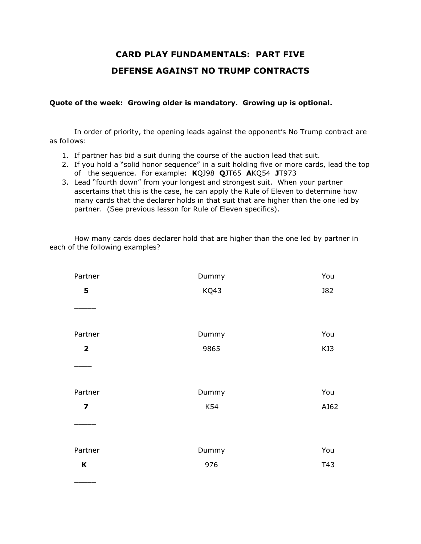## **CARD PLAY FUNDAMENTALS: PART FIVE DEFENSE AGAINST NO TRUMP CONTRACTS**

## **Quote of the week: Growing older is mandatory. Growing up is optional.**

In order of priority, the opening leads against the opponent's No Trump contract are as follows:

- 1. If partner has bid a suit during the course of the auction lead that suit.
- 2. If you hold a "solid honor sequence" in a suit holding five or more cards, lead the top of the sequence. For example: **K**QJ98 **Q**JT65 **A**KQ54 **J**T973
- 3. Lead "fourth down" from your longest and strongest suit. When your partner ascertains that this is the case, he can apply the Rule of Eleven to determine how many cards that the declarer holds in that suit that are higher than the one led by partner. (See previous lesson for Rule of Eleven specifics).

How many cards does declarer hold that are higher than the one led by partner in each of the following examples?

| Partner                 | Dummy | You        |
|-------------------------|-------|------------|
| 5                       | KQ43  | <b>J82</b> |
|                         |       |            |
| Partner                 | Dummy | You        |
| $\overline{\mathbf{2}}$ | 9865  | KJ3        |
|                         |       |            |
| Partner                 | Dummy | You        |
| $\overline{\mathbf{z}}$ | K54   | AJ62       |
|                         |       |            |
| Partner                 | Dummy | You        |
| K                       | 976   | T43        |

 $\overline{\phantom{a}}$